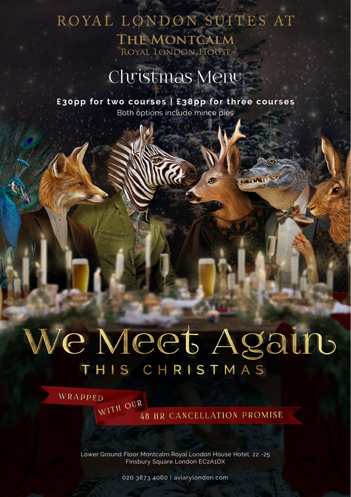## ROYAL LONDON SUITES AT THE MONTCALM ROYAL LONDON HOUSE

# Christmas Menu

**£30pp for two courses | £38pp for three courses** Both options include mince pies

# We Meet Again THIS CHRISTMAS

 $\sqrt{N}$ ITH OUR 48 HR CANCELLATION PROMISE

Lower Ground Floor Montcalm Royal London House Hotel, 22 -25 Finsbury Square London EC2A1DX

WRAPPED

020 3873 4060 | aviarylondon.com